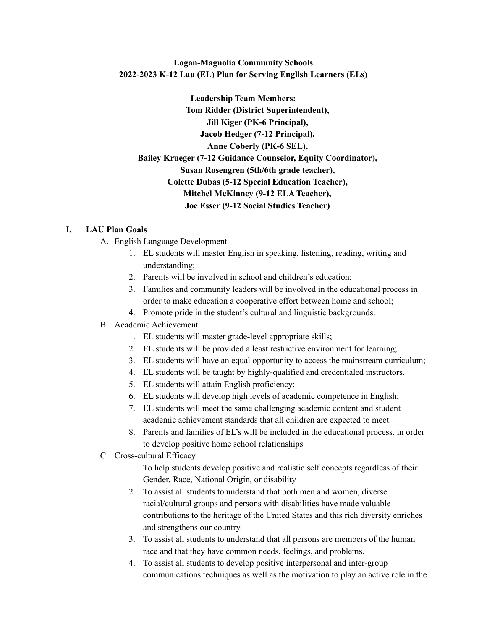# **Logan-Magnolia Community Schools 2022-2023 K-12 Lau (EL) Plan for Serving English Learners (ELs)**

**Leadership Team Members: Tom Ridder (District Superintendent), Jill Kiger (PK-6 Principal), Jacob Hedger (7-12 Principal), Anne Coberly (PK-6 SEL), Bailey Krueger (7-12 Guidance Counselor, Equity Coordinator), Susan Rosengren (5th/6th grade teacher), Colette Dubas (5-12 Special Education Teacher), Mitchel McKinney (9-12 ELA Teacher), Joe Esser (9-12 Social Studies Teacher)**

# **I. LAU Plan Goals**

- A. English Language Development
	- 1. EL students will master English in speaking, listening, reading, writing and understanding;
	- 2. Parents will be involved in school and children's education;
	- 3. Families and community leaders will be involved in the educational process in order to make education a cooperative effort between home and school;
	- 4. Promote pride in the student's cultural and linguistic backgrounds.

# B. Academic Achievement

- 1. EL students will master grade-level appropriate skills;
- 2. EL students will be provided a least restrictive environment for learning;
- 3. EL students will have an equal opportunity to access the mainstream curriculum;
- 4. EL students will be taught by highly-qualified and credentialed instructors.
- 5. EL students will attain English proficiency;
- 6. EL students will develop high levels of academic competence in English;
- 7. EL students will meet the same challenging academic content and student academic achievement standards that all children are expected to meet.
- 8. Parents and families of EL's will be included in the educational process, in order to develop positive home school relationships
- C. Cross-cultural Efficacy
	- 1. To help students develop positive and realistic self concepts regardless of their Gender, Race, National Origin, or disability
	- 2. To assist all students to understand that both men and women, diverse racial/cultural groups and persons with disabilities have made valuable contributions to the heritage of the United States and this rich diversity enriches and strengthens our country.
	- 3. To assist all students to understand that all persons are members of the human race and that they have common needs, feelings, and problems.
	- 4. To assist all students to develop positive interpersonal and inter-group communications techniques as well as the motivation to play an active role in the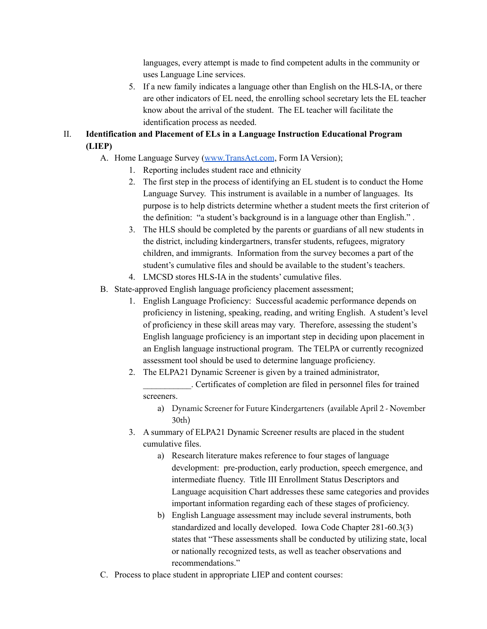languages, every attempt is made to find competent adults in the community or uses Language Line services.

- 5. If a new family indicates a language other than English on the HLS-IA, or there are other indicators of EL need, the enrolling school secretary lets the EL teacher know about the arrival of the student. The EL teacher will facilitate the identification process as needed.
- II. **Identification and Placement of ELs in a Language Instruction Educational Program (LIEP)**
	- A. Home Language Survey [\(www.TransAct.com](http://www.transact.com), Form IA Version);
		- 1. Reporting includes student race and ethnicity
		- 2. The first step in the process of identifying an EL student is to conduct the Home Language Survey. This instrument is available in a number of languages. Its purpose is to help districts determine whether a student meets the first criterion of the definition: "a student's background is in a language other than English." .
		- 3. The HLS should be completed by the parents or guardians of all new students in the district, including kindergartners, transfer students, refugees, migratory children, and immigrants. Information from the survey becomes a part of the student's cumulative files and should be available to the student's teachers.
		- 4. LMCSD stores HLS-IA in the students' cumulative files.
	- B. State-approved English language proficiency placement assessment;
		- 1. English Language Proficiency: Successful academic performance depends on proficiency in listening, speaking, reading, and writing English. A student's level of proficiency in these skill areas may vary. Therefore, assessing the student's English language proficiency is an important step in deciding upon placement in an English language instructional program. The TELPA or currently recognized assessment tool should be used to determine language proficiency.
		- 2. The ELPA21 Dynamic Screener is given by a trained administrator, \_\_\_\_\_\_\_\_\_\_\_. Certificates of completion are filed in personnel files for trained
			- screeners.
				- a) Dynamic Screener for Future Kindergarteners (available April 2 November 30th)
		- 3. A summary of ELPA21 Dynamic Screener results are placed in the student cumulative files.
			- a) Research literature makes reference to four stages of language development: pre-production, early production, speech emergence, and intermediate fluency. Title III Enrollment Status Descriptors and Language acquisition Chart addresses these same categories and provides important information regarding each of these stages of proficiency.
			- b) English Language assessment may include several instruments, both standardized and locally developed. Iowa Code Chapter 281-60.3(3) states that "These assessments shall be conducted by utilizing state, local or nationally recognized tests, as well as teacher observations and recommendations."
	- C. Process to place student in appropriate LIEP and content courses: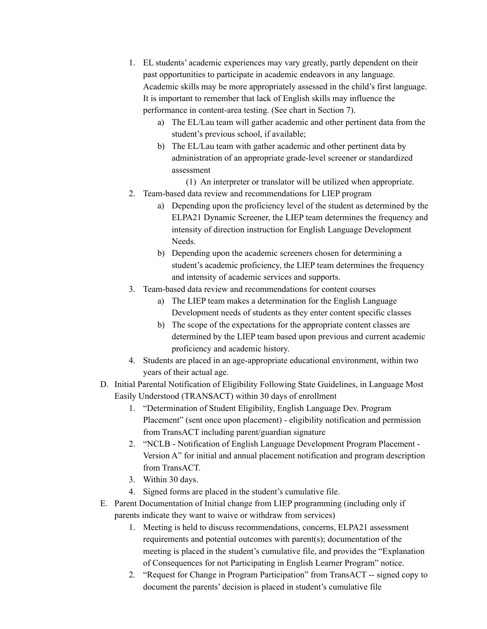- 1. EL students' academic experiences may vary greatly, partly dependent on their past opportunities to participate in academic endeavors in any language. Academic skills may be more appropriately assessed in the child's first language. It is important to remember that lack of English skills may influence the performance in content-area testing. (See chart in Section 7).
	- a) The EL/Lau team will gather academic and other pertinent data from the student's previous school, if available;
	- b) The EL/Lau team with gather academic and other pertinent data by administration of an appropriate grade-level screener or standardized assessment
		- (1) An interpreter or translator will be utilized when appropriate.
- 2. Team-based data review and recommendations for LIEP program
	- a) Depending upon the proficiency level of the student as determined by the ELPA21 Dynamic Screener, the LIEP team determines the frequency and intensity of direction instruction for English Language Development Needs.
	- b) Depending upon the academic screeners chosen for determining a student's academic proficiency, the LIEP team determines the frequency and intensity of academic services and supports.
- 3. Team-based data review and recommendations for content courses
	- a) The LIEP team makes a determination for the English Language Development needs of students as they enter content specific classes
	- b) The scope of the expectations for the appropriate content classes are determined by the LIEP team based upon previous and current academic proficiency and academic history.
- 4. Students are placed in an age-appropriate educational environment, within two years of their actual age.
- D. Initial Parental Notification of Eligibility Following State Guidelines, in Language Most Easily Understood (TRANSACT) within 30 days of enrollment
	- 1. "Determination of Student Eligibility, English Language Dev. Program Placement" (sent once upon placement) - eligibility notification and permission from TransACT including parent/guardian signature
	- 2. "NCLB Notification of English Language Development Program Placement Version A" for initial and annual placement notification and program description from TransACT.
	- 3. Within 30 days.
	- 4. Signed forms are placed in the student's cumulative file.
- E. Parent Documentation of Initial change from LIEP programming (including only if parents indicate they want to waive or withdraw from services)
	- 1. Meeting is held to discuss recommendations, concerns, ELPA21 assessment requirements and potential outcomes with parent(s); documentation of the meeting is placed in the student's cumulative file, and provides the "Explanation of Consequences for not Participating in English Learner Program" notice.
	- 2. "Request for Change in Program Participation" from TransACT -- signed copy to document the parents' decision is placed in student's cumulative file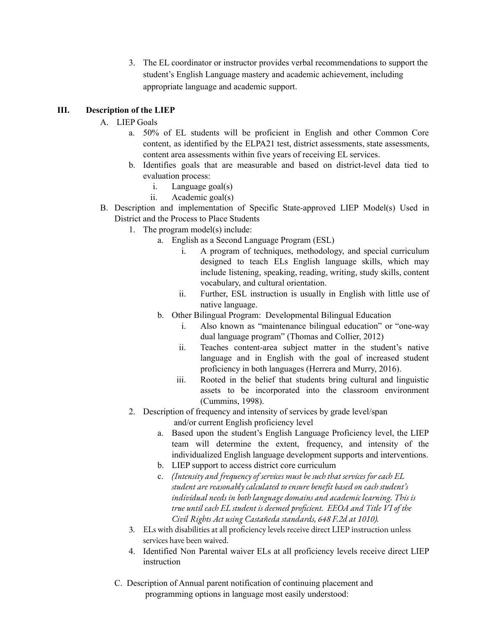3. The EL coordinator or instructor provides verbal recommendations to support the student's English Language mastery and academic achievement, including appropriate language and academic support.

# **III. Description of the LIEP**

### A. LIEP Goals

- a. 50% of EL students will be proficient in English and other Common Core content, as identified by the ELPA21 test, district assessments, state assessments, content area assessments within five years of receiving EL services.
- b. Identifies goals that are measurable and based on district-level data tied to evaluation process:
	- i. Language goal(s)
	- ii. Academic goal(s)
- B. Description and implementation of Specific State-approved LIEP Model(s) Used in District and the Process to Place Students
	- 1. The program model(s) include:
		- a. English as a Second Language Program (ESL)
			- i. A program of techniques, methodology, and special curriculum designed to teach ELs English language skills, which may include listening, speaking, reading, writing, study skills, content vocabulary, and cultural orientation.
			- ii. Further, ESL instruction is usually in English with little use of native language.
		- b. Other Bilingual Program: Developmental Bilingual Education
			- i. Also known as "maintenance bilingual education" or "one-way dual language program" (Thomas and Collier, 2012)
			- ii. Teaches content-area subject matter in the student's native language and in English with the goal of increased student proficiency in both languages (Herrera and Murry, 2016).
			- iii. Rooted in the belief that students bring cultural and linguistic assets to be incorporated into the classroom environment (Cummins, 1998).
	- 2. Description of frequency and intensity of services by grade level/span and/or current English proficiency level
		- a. Based upon the student's English Language Proficiency level, the LIEP team will determine the extent, frequency, and intensity of the individualized English language development supports and interventions.
		- b. LIEP support to access district core curriculum
		- c. *(Intensity and frequency of services must be such that services for each EL student are reasonably calculated to ensure benefit based on each student's individual needs in both language domains and academic learning. This is true until each EL student is deemed proficient. EEOA and Title VI of the Civil Rights Act using Castañeda standards, 648 F.2d at 1010).*
	- 3. ELs with disabilities at all proficiency levels receive direct LIEP instruction unless services have been waived.
	- 4. Identified Non Parental waiver ELs at all proficiency levels receive direct LIEP instruction
	- C. Description of Annual parent notification of continuing placement and programming options in language most easily understood: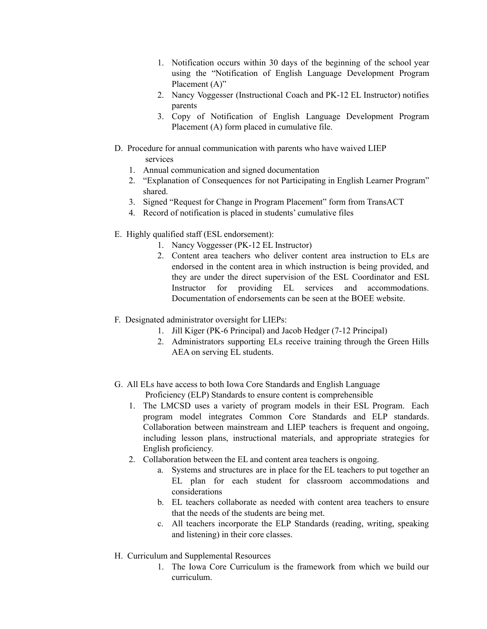- 1. Notification occurs within 30 days of the beginning of the school year using the "Notification of English Language Development Program Placement (A)"
- 2. Nancy Voggesser (Instructional Coach and PK-12 EL Instructor) notifies parents
- 3. Copy of Notification of English Language Development Program Placement (A) form placed in cumulative file.
- D. Procedure for annual communication with parents who have waived LIEP services
	- 1. Annual communication and signed documentation
	- 2. "Explanation of Consequences for not Participating in English Learner Program" shared.
	- 3. Signed "Request for Change in Program Placement" form from TransACT
	- 4. Record of notification is placed in students' cumulative files
- E. Highly qualified staff (ESL endorsement):
	- 1. Nancy Voggesser (PK-12 EL Instructor)
	- 2. Content area teachers who deliver content area instruction to ELs are endorsed in the content area in which instruction is being provided, and they are under the direct supervision of the ESL Coordinator and ESL Instructor for providing EL services and accommodations. Documentation of endorsements can be seen at the BOEE website.
- F. Designated administrator oversight for LIEPs:
	- 1. Jill Kiger (PK-6 Principal) and Jacob Hedger (7-12 Principal)
	- 2. Administrators supporting ELs receive training through the Green Hills AEA on serving EL students.
- G. All ELs have access to both Iowa Core Standards and English Language Proficiency (ELP) Standards to ensure content is comprehensible
	- 1. The LMCSD uses a variety of program models in their ESL Program. Each program model integrates Common Core Standards and ELP standards. Collaboration between mainstream and LIEP teachers is frequent and ongoing, including lesson plans, instructional materials, and appropriate strategies for English proficiency.
	- 2. Collaboration between the EL and content area teachers is ongoing.
		- a. Systems and structures are in place for the EL teachers to put together an EL plan for each student for classroom accommodations and considerations
		- b. EL teachers collaborate as needed with content area teachers to ensure that the needs of the students are being met.
		- c. All teachers incorporate the ELP Standards (reading, writing, speaking and listening) in their core classes.
- H. Curriculum and Supplemental Resources
	- 1. The Iowa Core Curriculum is the framework from which we build our curriculum.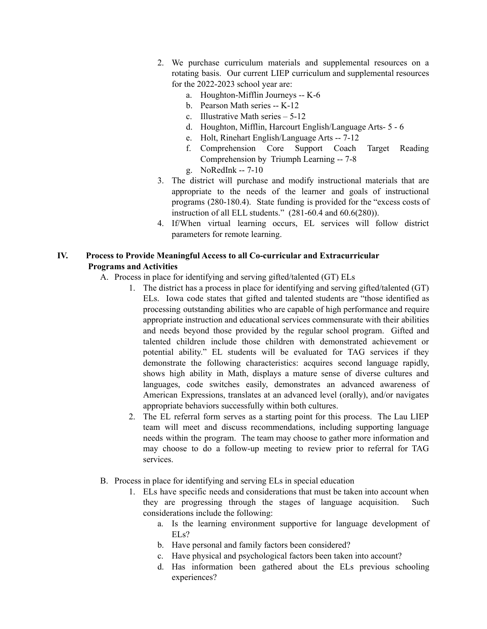- 2. We purchase curriculum materials and supplemental resources on a rotating basis. Our current LIEP curriculum and supplemental resources for the 2022-2023 school year are:
	- a. Houghton-Mifflin Journeys -- K-6
	- b. Pearson Math series -- K-12
	- c. Illustrative Math series 5-12
	- d. Houghton, Mifflin, Harcourt English/Language Arts- 5 6
	- e. Holt, Rinehart English/Language Arts -- 7-12
	- f. Comprehension Core Support Coach Target Reading Comprehension by Triumph Learning -- 7-8
	- g. NoRedInk -- 7-10
- 3. The district will purchase and modify instructional materials that are appropriate to the needs of the learner and goals of instructional programs (280-180.4). State funding is provided for the "excess costs of instruction of all ELL students." (281-60.4 and 60.6(280)).
- 4. If/When virtual learning occurs, EL services will follow district parameters for remote learning.

# **IV. Process to Provide Meaningful Access to all Co-curricular and Extracurricular Programs and Activities**

- A. Process in place for identifying and serving gifted/talented (GT) ELs
	- 1. The district has a process in place for identifying and serving gifted/talented (GT) ELs. Iowa code states that gifted and talented students are "those identified as processing outstanding abilities who are capable of high performance and require appropriate instruction and educational services commensurate with their abilities and needs beyond those provided by the regular school program. Gifted and talented children include those children with demonstrated achievement or potential ability." EL students will be evaluated for TAG services if they demonstrate the following characteristics: acquires second language rapidly, shows high ability in Math, displays a mature sense of diverse cultures and languages, code switches easily, demonstrates an advanced awareness of American Expressions, translates at an advanced level (orally), and/or navigates appropriate behaviors successfully within both cultures.
	- 2. The EL referral form serves as a starting point for this process. The Lau LIEP team will meet and discuss recommendations, including supporting language needs within the program. The team may choose to gather more information and may choose to do a follow-up meeting to review prior to referral for TAG services.
- B. Process in place for identifying and serving ELs in special education
	- 1. ELs have specific needs and considerations that must be taken into account when they are progressing through the stages of language acquisition. Such considerations include the following:
		- a. Is the learning environment supportive for language development of ELs?
		- b. Have personal and family factors been considered?
		- c. Have physical and psychological factors been taken into account?
		- d. Has information been gathered about the ELs previous schooling experiences?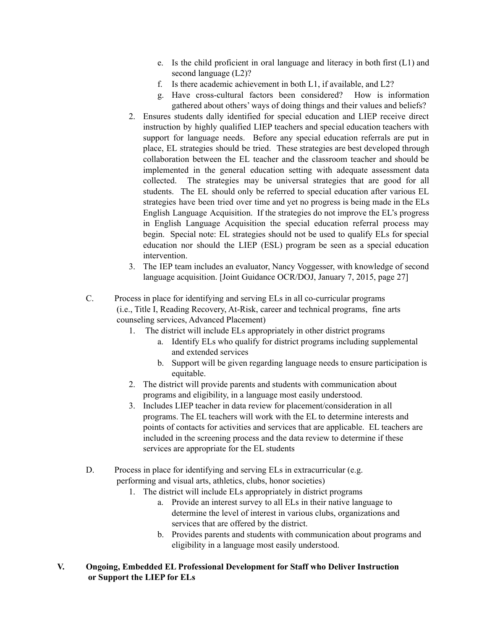- e. Is the child proficient in oral language and literacy in both first (L1) and second language (L2)?
- f. Is there academic achievement in both L1, if available, and L2?
- g. Have cross-cultural factors been considered? How is information gathered about others' ways of doing things and their values and beliefs?
- 2. Ensures students dally identified for special education and LIEP receive direct instruction by highly qualified LIEP teachers and special education teachers with support for language needs. Before any special education referrals are put in place, EL strategies should be tried. These strategies are best developed through collaboration between the EL teacher and the classroom teacher and should be implemented in the general education setting with adequate assessment data collected. The strategies may be universal strategies that are good for all students. The EL should only be referred to special education after various EL strategies have been tried over time and yet no progress is being made in the ELs English Language Acquisition. If the strategies do not improve the EL's progress in English Language Acquisition the special education referral process may begin. Special note: EL strategies should not be used to qualify ELs for special education nor should the LIEP (ESL) program be seen as a special education intervention.
- 3. The IEP team includes an evaluator, Nancy Voggesser, with knowledge of second language acquisition. [Joint Guidance OCR/DOJ, January 7, 2015, page 27]
- C. Process in place for identifying and serving ELs in all co-curricular programs (i.e., Title I, Reading Recovery, At-Risk, career and technical programs, fine arts counseling services, Advanced Placement)
	- 1. The district will include ELs appropriately in other district programs
		- a. Identify ELs who qualify for district programs including supplemental and extended services
		- b. Support will be given regarding language needs to ensure participation is equitable.
	- 2. The district will provide parents and students with communication about programs and eligibility, in a language most easily understood.
	- 3. Includes LIEP teacher in data review for placement/consideration in all programs. The EL teachers will work with the EL to determine interests and points of contacts for activities and services that are applicable. EL teachers are included in the screening process and the data review to determine if these services are appropriate for the EL students
- D. Process in place for identifying and serving ELs in extracurricular (e.g. performing and visual arts, athletics, clubs, honor societies)
	- 1. The district will include ELs appropriately in district programs
		- a. Provide an interest survey to all ELs in their native language to determine the level of interest in various clubs, organizations and services that are offered by the district.
		- b. Provides parents and students with communication about programs and eligibility in a language most easily understood.
- **V. Ongoing, Embedded EL Professional Development for Staff who Deliver Instruction or Support the LIEP for ELs**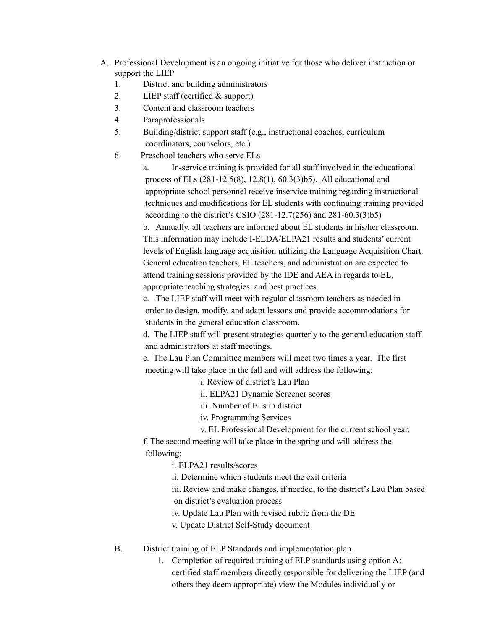- A. Professional Development is an ongoing initiative for those who deliver instruction or support the LIEP
	- 1. District and building administrators
	- 2. LIEP staff (certified & support)
	- 3. Content and classroom teachers
	- 4. Paraprofessionals
	- 5. Building/district support staff (e.g., instructional coaches, curriculum coordinators, counselors, etc.)
	- 6. Preschool teachers who serve ELs

a. In-service training is provided for all staff involved in the educational process of ELs (281-12.5(8), 12.8(1), 60.3(3)b5). All educational and appropriate school personnel receive inservice training regarding instructional techniques and modifications for EL students with continuing training provided according to the district's CSIO (281-12.7(256) and 281-60.3(3)b5)

b. Annually, all teachers are informed about EL students in his/her classroom. This information may include I-ELDA/ELPA21 results and students' current levels of English language acquisition utilizing the Language Acquisition Chart. General education teachers, EL teachers, and administration are expected to attend training sessions provided by the IDE and AEA in regards to EL, appropriate teaching strategies, and best practices.

c. The LIEP staff will meet with regular classroom teachers as needed in order to design, modify, and adapt lessons and provide accommodations for students in the general education classroom.

d. The LIEP staff will present strategies quarterly to the general education staff and administrators at staff meetings.

e. The Lau Plan Committee members will meet two times a year. The first meeting will take place in the fall and will address the following:

i. Review of district's Lau Plan

ii. ELPA21 Dynamic Screener scores

iii. Number of ELs in district

iv. Programming Services

v. EL Professional Development for the current school year.

f. The second meeting will take place in the spring and will address the following:

i. ELPA21 results/scores

ii. Determine which students meet the exit criteria

iii. Review and make changes, if needed, to the district's Lau Plan based on district's evaluation process

iv. Update Lau Plan with revised rubric from the DE

v. Update District Self-Study document

B. District training of ELP Standards and implementation plan.

1. Completion of required training of ELP standards using option A: certified staff members directly responsible for delivering the LIEP (and others they deem appropriate) view the Modules individually or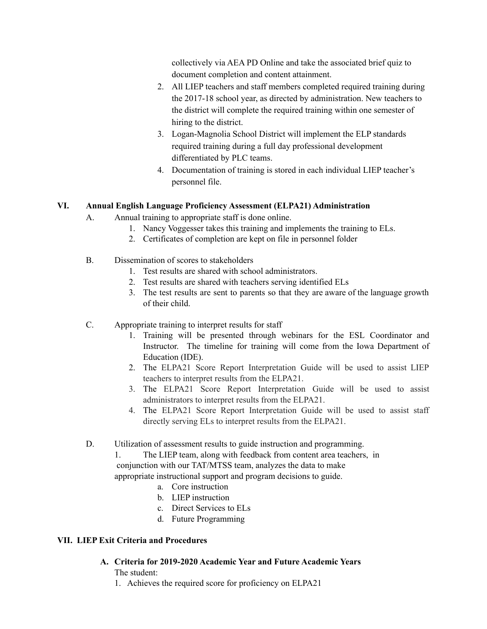collectively via AEA PD Online and take the associated brief quiz to document completion and content attainment.

- 2. All LIEP teachers and staff members completed required training during the 2017-18 school year, as directed by administration. New teachers to the district will complete the required training within one semester of hiring to the district.
- 3. Logan-Magnolia School District will implement the ELP standards required training during a full day professional development differentiated by PLC teams.
- 4. Documentation of training is stored in each individual LIEP teacher's personnel file.

# **VI. Annual English Language Proficiency Assessment (ELPA21) Administration**

- A. Annual training to appropriate staff is done online.
	- 1. Nancy Voggesser takes this training and implements the training to ELs.
	- 2. Certificates of completion are kept on file in personnel folder
- B. Dissemination of scores to stakeholders
	- 1. Test results are shared with school administrators.
	- 2. Test results are shared with teachers serving identified ELs
	- 3. The test results are sent to parents so that they are aware of the language growth of their child.
- C. Appropriate training to interpret results for staff
	- 1. Training will be presented through webinars for the ESL Coordinator and Instructor. The timeline for training will come from the Iowa Department of Education (IDE).
	- 2. The ELPA21 Score Report Interpretation Guide will be used to assist LIEP teachers to interpret results from the ELPA21.
	- 3. The ELPA21 Score Report Interpretation Guide will be used to assist administrators to interpret results from the ELPA21.
	- 4. The ELPA21 Score Report Interpretation Guide will be used to assist staff directly serving ELs to interpret results from the ELPA21.
- D. Utilization of assessment results to guide instruction and programming.

1. The LIEP team, along with feedback from content area teachers, in conjunction with our TAT/MTSS team, analyzes the data to make appropriate instructional support and program decisions to guide.

- a. Core instruction
- b. LIEP instruction
- c. Direct Services to ELs
- d. Future Programming

# **VII. LIEP Exit Criteria and Procedures**

- **A. Criteria for 2019-2020 Academic Year and Future Academic Years** The student:
	- 1. Achieves the required score for proficiency on ELPA21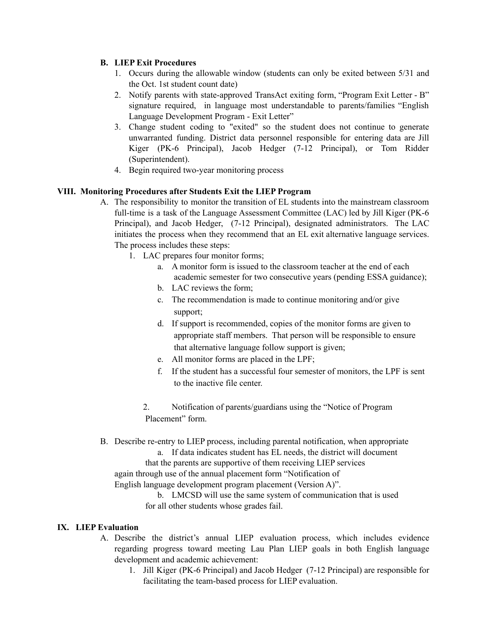# **B. LIEP Exit Procedures**

- 1. Occurs during the allowable window (students can only be exited between 5/31 and the Oct. 1st student count date)
- 2. Notify parents with state-approved TransAct exiting form, "Program Exit Letter B" signature required, in language most understandable to parents/families "English Language Development Program - Exit Letter"
- 3. Change student coding to "exited" so the student does not continue to generate unwarranted funding. District data personnel responsible for entering data are Jill Kiger (PK-6 Principal), Jacob Hedger (7-12 Principal), or Tom Ridder (Superintendent).
- 4. Begin required two-year monitoring process

### **VIII. Monitoring Procedures after Students Exit the LIEP Program**

- A. The responsibility to monitor the transition of EL students into the mainstream classroom full-time is a task of the Language Assessment Committee (LAC) led by Jill Kiger (PK-6 Principal), and Jacob Hedger, (7-12 Principal), designated administrators. The LAC initiates the process when they recommend that an EL exit alternative language services. The process includes these steps:
	- 1. LAC prepares four monitor forms;
		- a. A monitor form is issued to the classroom teacher at the end of each academic semester for two consecutive years (pending ESSA guidance);
		- b. LAC reviews the form;
		- c. The recommendation is made to continue monitoring and/or give support;
		- d. If support is recommended, copies of the monitor forms are given to appropriate staff members. That person will be responsible to ensure that alternative language follow support is given;
		- e. All monitor forms are placed in the LPF;
		- f. If the student has a successful four semester of monitors, the LPF is sent to the inactive file center.
		- 2. Notification of parents/guardians using the "Notice of Program Placement" form.
- B. Describe re-entry to LIEP process, including parental notification, when appropriate
	- a. If data indicates student has EL needs, the district will document that the parents are supportive of them receiving LIEP services

again through use of the annual placement form "Notification of

English language development program placement (Version A)".

b. LMCSD will use the same system of communication that is used for all other students whose grades fail.

#### **IX. LIEP Evaluation**

- A. Describe the district's annual LIEP evaluation process, which includes evidence regarding progress toward meeting Lau Plan LIEP goals in both English language development and academic achievement:
	- 1. Jill Kiger (PK-6 Principal) and Jacob Hedger (7-12 Principal) are responsible for facilitating the team-based process for LIEP evaluation.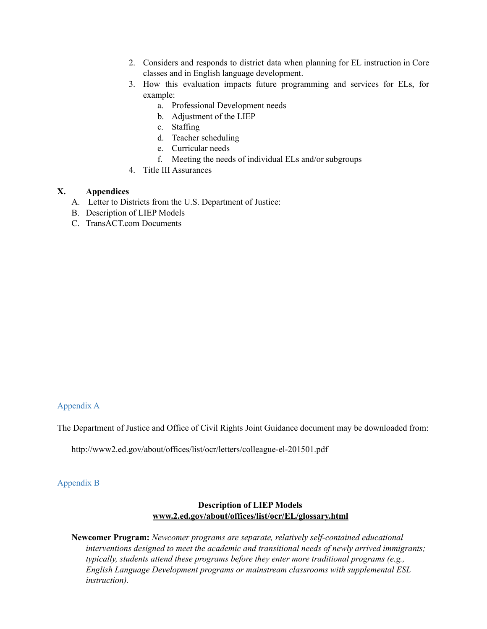- 2. Considers and responds to district data when planning for EL instruction in Core classes and in English language development.
- 3. How this evaluation impacts future programming and services for ELs, for example:
	- a. Professional Development needs
	- b. Adjustment of the LIEP
	- c. Staffing
	- d. Teacher scheduling
	- e. Curricular needs
	- f. Meeting the needs of individual ELs and/or subgroups
- 4. Title III Assurances

#### **X. Appendices**

- A. Letter to Districts from the U.S. Department of Justice:
- B. Description of LIEP Models
- C. TransACT.com Documents

### Appendix A

The Department of Justice and Office of Civil Rights Joint Guidance document may be downloaded from:

<http://www2.ed.gov/about/offices/list/ocr/letters/colleague-el-201501.pdf>

#### Appendix B

### **Description of LIEP Models [www.2.ed.gov/about/offices/list/ocr/EL/glossary.html](http://www.2.ed.gov/about/offices/list/ocr/ell/glossary.html)**

**Newcomer Program:** *Newcomer programs are separate, relatively self-contained educational interventions designed to meet the academic and transitional needs of newly arrived immigrants; typically, students attend these programs before they enter more traditional programs (e.g., English Language Development programs or mainstream classrooms with supplemental ESL instruction).*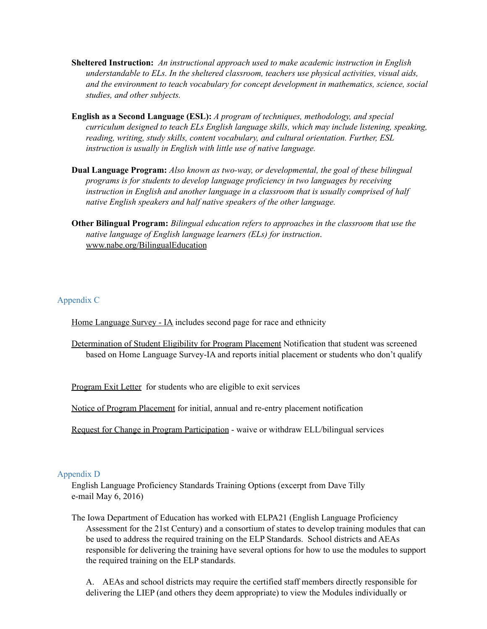- **Sheltered Instruction:** *An instructional approach used to make academic instruction in English understandable to ELs. In the sheltered classroom, teachers use physical activities, visual aids, and the environment to teach vocabulary for concept development in mathematics, science, social studies, and other subjects.*
- **English as a Second Language (ESL):** *A program of techniques, methodology, and special curriculum designed to teach ELs English language skills, which may include listening, speaking, reading, writing, study skills, content vocabulary, and cultural orientation. Further, ESL instruction is usually in English with little use of native language.*
- **Dual Language Program:** *Also known as two-way, or developmental, the goal of these bilingual programs is for students to develop language proficiency in two languages by receiving instruction in English and another language in a classroom that is usually comprised of half native English speakers and half native speakers of the other language.*
- **Other Bilingual Program:** *Bilingual education refers to approaches in the classroom that use the native language of English language learners (ELs) for instruction*. [www.nabe.org/BilingualEducation](http://www.nabe.org/BilingualEducation)

### Appendix C

Home [Language](https://app.parentnotices.com/documents/view/2/319231) Survey - IA includes second page for race and ethnicity

[Determination](https://app.parentnotices.com/documents/view/2/168974) of Student Eligibility for Program Placement Notification that student was screened based on Home Language Survey-IA and reports initial placement or students who don't qualify

[Program](https://app.parentnotices.com/documents/view/2/74) Exit Letter for students who are eligible to exit services

Notice of Program Placement for initial, annual and re-entry placement notification

Request for Change in [Program](https://app.parentnotices.com/documents/view/2/100) Participation - waive or withdraw ELL/bilingual services

#### Appendix D

English Language Proficiency Standards Training Options (excerpt from Dave Tilly e-mail May 6, 2016)

The Iowa Department of Education has worked with ELPA21 (English Language Proficiency Assessment for the 21st Century) and a consortium of states to develop training modules that can be used to address the required training on the ELP Standards. School districts and AEAs responsible for delivering the training have several options for how to use the modules to support the required training on the ELP standards.

A. AEAs and school districts may require the certified staff members directly responsible for delivering the LIEP (and others they deem appropriate) to view the Modules individually or